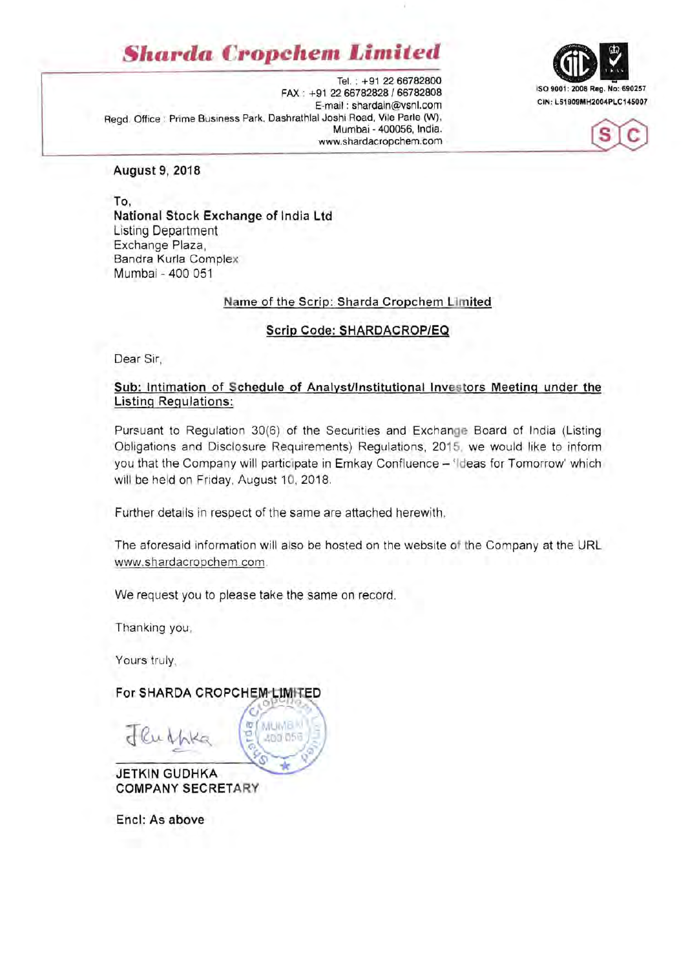### **Sharda Cropchem Limited**

Tel. : +91 22 66782800 ISO 9001: 2008 Reg. No: 690257 FAX : +91 2266782828/66782808 E-mail: shardain@vsnl.com Regd. Office : Prime Business Park, Dashrathlal Joshi Road, Vile Parle (W), Mumbai - 400056, India. www.shardacropchem.com



August 9, 2018

To, National Stock Exchange of India Ltd Listing Department Exchange Plaza, Bandra Kurla Complex Mumbai - 400 051

#### Name of the Scrip: Sharda Cropchem Limited

### Scrip Code: SHARDACROP/EQ

Dear Sir,

#### Sub: Intimation of Schedule of Analyst/Institutional Investors Meeting under the Listing Regulations:

Pursuant to Regulation 30(6) of the Securities and Exchange Board of India (Listing Obligations and Disclosure Requirements) Regulations, 2015, we would like to inform you that the Company will participate in Emkay Confluence - 'Ideas for Tomorrow' which will be held on Friday, August 10, 2018.

Further details in respect of the same are attached herewith.

The aforesaid information will also be hosted on the website of the Company at the URL www.shardacropchem.com.

We request you to please take the same on record.

Thanking you,

Yours truly,

For SHARDA CROPCHEM LIMITED



COMPANY SECRETARY JETKIN GUDHKA

Encl: As above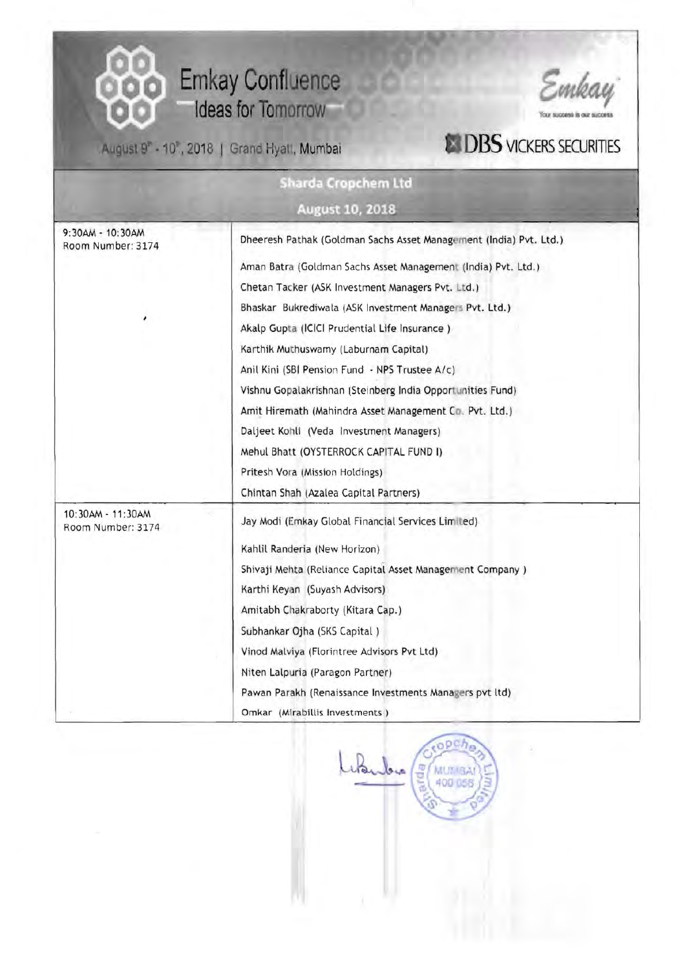**Emkay Confluence Ideas for Tomorrow** 

₩



# August 9" - 10", 2018 | Grand Hyatt, Mumbai **DBS** VICKERS SECURITIES

| <b>Sharda Cropchem Ltd</b><br>August 10, 2018 |                                                                                                                                                                                                                                                                                                      |  |
|-----------------------------------------------|------------------------------------------------------------------------------------------------------------------------------------------------------------------------------------------------------------------------------------------------------------------------------------------------------|--|
|                                               |                                                                                                                                                                                                                                                                                                      |  |
| 10:30AM - 11:30AM<br>Room Number: 3174        | Pritesh Vora (Mission Holdings)<br>Chintan Shah (Azalea Capital Partners)<br>Jay Modi (Emkay Global Financial Services Limited)<br>Kahlil Randeria (New Horizon)<br>Shivaji Mehta (Reliance Capital Asset Management Company)<br>Karthi Keyan (Suyash Advisors)<br>Amitabh Chakraborty (Kitara Cap.) |  |
|                                               | Subhankar Ojha (SKS Capital)<br>Vinod Malviya (Florintree Advisors Pvt Ltd)<br>Niten Lalpuria (Paragon Partner)<br>Pawan Parakh (Renaissance Investments Managers pvt ltd)<br>Omkar (Mirabillis Investments)                                                                                         |  |